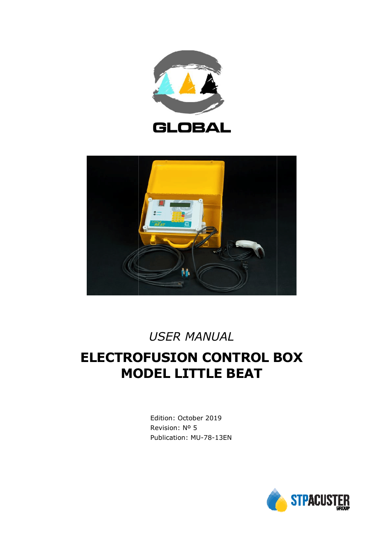



# *USER MANUAL*

# **ELECTROFUSION CONTROL BOX MODEL LITTLE BEAT**

Edition: October 2019 Revision: Nº 5 Publication: MU-78-13EN

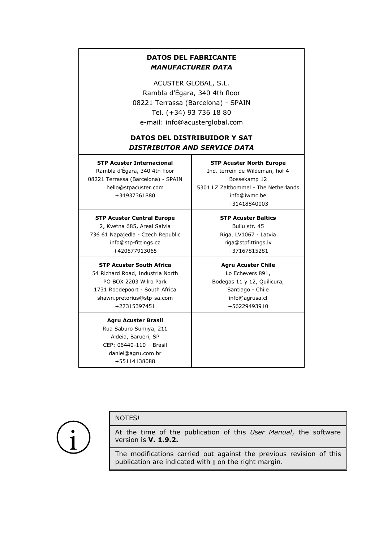### **DATOS DEL FABRICANTE** *MANUFACTURER DATA*

ACUSTER GLOBAL, S.L. Rambla d'Ègara, 340 4th floor 08221 Terrassa (Barcelona) - SPAIN Tel. (+34) 93 736 18 80 e-mail: info@acusterglobal.com

### **DATOS DEL DISTRIBUIDOR Y SAT** *DISTRIBUTOR AND SERVICE DATA*

**STP Acuster Internacional** Rambla d'Ègara, 340 4th floor 08221 Terrassa (Barcelona) - SPAIN hello@stpacuster.com +34937361880

**STP Acuster Central Europe** 2, Kvetna 685, Areal Salvia 736 61 Napajedla - Czech Republic info@stp-fittings.cz +420577913065

#### **STP Acuster South Africa** 54 Richard Road, Industria North PO BOX 2203 Wilro Park 1731 Roodepoort - South Africa shawn.pretorius@stp-sa.com +27315397451

**Agru Acuster Brasil** Rua Saburo Sumiya, 211 Aldeia, Barueri, SP CEP: 06440-110 – Brasil daniel@agru.com.br +55114138088

**STP Acuster North Europe** Ind. terrein de Wildeman, hof 4 Bossekamp 12 5301 LZ Zaltbommel - The Netherlands info@iwmc.be +31418840003

> **STP Acuster Baltics** Bullu str. 45 Riga, LV1067 - Latvia riga@stpfittings.lv +37167815281

**Agru Acuster Chile** Lo Echevers 891, Bodegas 11 y 12, Quilicura, Santiago - Chile info@agrusa.cl +56229493910

#### NOTES!

At the time of the publication of this *User Manual*, the software version is **V. 1.9.2.**

The modifications carried out against the previous revision of this publication are indicated with  $\parallel$  on the right margin.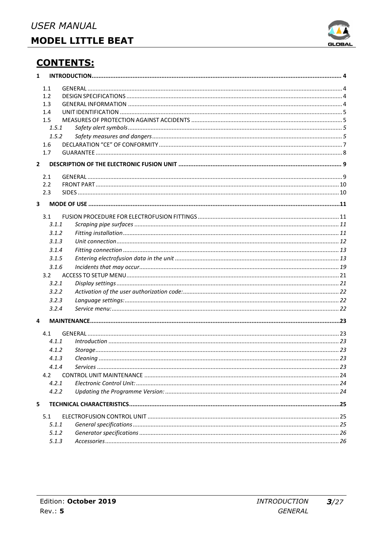

# **CONTENTS:**

| $\mathbf{1}$            |       |  |  |
|-------------------------|-------|--|--|
|                         | 1.1   |  |  |
|                         | 1.2   |  |  |
|                         | 1.3   |  |  |
|                         | 1.4   |  |  |
|                         | 1.5   |  |  |
|                         | 1.5.1 |  |  |
|                         | 1.5.2 |  |  |
|                         | 1.6   |  |  |
|                         | 1.7   |  |  |
| $\overline{2}$          |       |  |  |
|                         | 2.1   |  |  |
|                         | 2.2   |  |  |
|                         | 2.3   |  |  |
| $\overline{\mathbf{3}}$ |       |  |  |
|                         | 3.1   |  |  |
|                         | 3.1.1 |  |  |
|                         | 3.1.2 |  |  |
|                         | 3.1.3 |  |  |
|                         | 3.1.4 |  |  |
|                         | 3.1.5 |  |  |
|                         | 3.1.6 |  |  |
|                         | 3.2   |  |  |
|                         | 3.2.1 |  |  |
|                         | 3.2.2 |  |  |
|                         | 3.2.3 |  |  |
|                         | 3.2.4 |  |  |
| 4                       |       |  |  |
|                         | 4.1   |  |  |
|                         | 4.1.1 |  |  |
|                         | 4.1.2 |  |  |
|                         | 4.1.3 |  |  |
|                         | 4.1.4 |  |  |
|                         | 4.2   |  |  |
|                         | 4.2.1 |  |  |
|                         | 4.2.2 |  |  |
| 5                       |       |  |  |
|                         | 5.1   |  |  |
|                         | 5.1.1 |  |  |
|                         | 5.1.2 |  |  |
|                         | 5.1.3 |  |  |
|                         |       |  |  |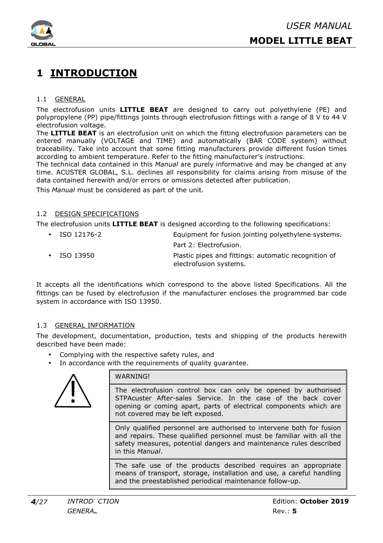

## **1 INTRODUCTION**

#### 1.1 GENERAL

The electrofusion units **LITTLE BEAT** are designed to carry out polyethylene (PE) and polypropylene (PP) pipe/fittings joints through electrofusion fittings with a range of 8 V to 44 V electrofusion voltage.

The **LITTLE BEAT** is an electrofusion unit on which the fitting electrofusion parameters can be entered manually (VOLTAGE and TIME) and automatically (BAR CODE system) without traceability. Take into account that some fitting manufacturers provide different fusion times according to ambient temperature. Refer to the fitting manufacturer's instructions.

The technical data contained in this *Manual* are purely informative and may be changed at any time. ACUSTER GLOBAL, S.L. declines all responsibility for claims arising from misuse of the data contained herewith and/or errors or omissions detected after publication.

This *Manual* must be considered as part of the unit.

#### 1.2 DESIGN SPECIFICATIONS

The electrofusion units **LITTLE BEAT** is designed according to the following specifications:

| $\cdot$ ISO 12176-2 | Equipment for fusion jointing polyethylene systems.  |  |
|---------------------|------------------------------------------------------|--|
|                     | Part 2: Electrofusion.                               |  |
| $\bullet$ ISO 13950 | Plastic pipes and fittings: automatic recognition of |  |
|                     | electrofusion systems.                               |  |

It accepts all the identifications which correspond to the above listed Specifications. All the fittings can be fused by electrofusion if the manufacturer encloses the programmed bar code system in accordance with ISO 13950.

#### 1.3 GENERAL INFORMATION

The development, documentation, production, tests and shipping of the products herewith described have been made:

- Complying with the respective safety rules, and
- In accordance with the requirements of quality guarantee.



#### WARNING!

The electrofusion control box can only be opened by authorised STPAcuster After-sales Service. In the case of the back cover opening or coming apart, parts of electrical components which are not covered may be left exposed.

Only qualified personnel are authorised to intervene both for fusion and repairs. These qualified personnel must be familiar with all the safety measures, potential dangers and maintenance rules described in this *Manual*.

The safe use of the products described requires an appropriate means of transport, storage, installation and use, a careful handling and the preestablished periodical maintenance follow-up.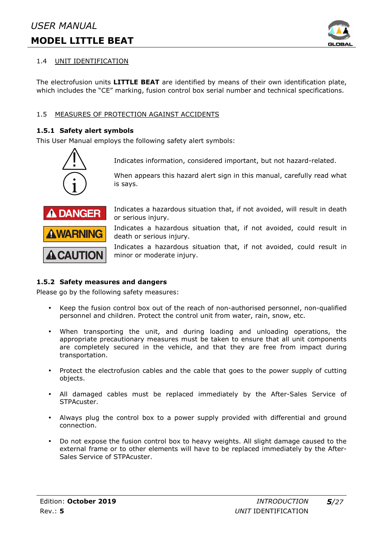

#### 1.4 UNIT IDENTIFICATION

The electrofusion units **LITTLE BEAT** are identified by means of their own identification plate, which includes the "CE" marking, fusion control box serial number and technical specifications.

#### 1.5 MEASURES OF PROTECTION AGAINST ACCIDENTS

#### **1.5.1 Safety alert symbols**

This User Manual employs the following safety alert symbols:



Indicates information, considered important, but not hazard-related.

When appears this hazard alert sign in this manual, carefully read what is says.



Indicates a hazardous situation that, if not avoided, will result in death or serious injury.

Indicates a hazardous situation that, if not avoided, could result in death or serious injury.

Indicates a hazardous situation that, if not avoided, could result in minor or moderate injury.

#### **1.5.2 Safety measures and dangers**

Please go by the following safety measures:

- Keep the fusion control box out of the reach of non-authorised personnel, non-qualified personnel and children. Protect the control unit from water, rain, snow, etc.
- When transporting the unit, and during loading and unloading operations, the appropriate precautionary measures must be taken to ensure that all unit components are completely secured in the vehicle, and that they are free from impact during transportation.
- Protect the electrofusion cables and the cable that goes to the power supply of cutting objects.
- All damaged cables must be replaced immediately by the After-Sales Service of STPAcuster.
- Always plug the control box to a power supply provided with differential and ground connection.
- Do not expose the fusion control box to heavy weights. All slight damage caused to the external frame or to other elements will have to be replaced immediately by the After-Sales Service of STPAcuster.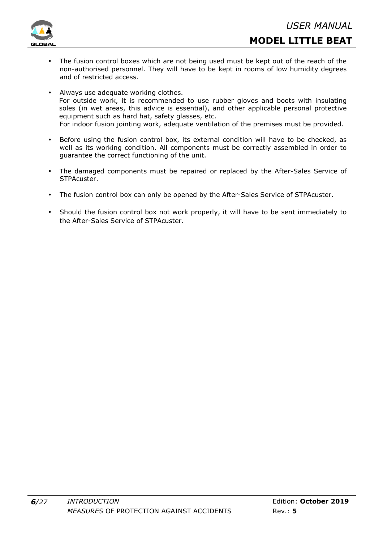

- **MODEL LITTLE BEAT**
- The fusion control boxes which are not being used must be kept out of the reach of the non-authorised personnel. They will have to be kept in rooms of low humidity degrees and of restricted access.
- Always use adequate working clothes. For outside work, it is recommended to use rubber gloves and boots with insulating soles (in wet areas, this advice is essential), and other applicable personal protective equipment such as hard hat, safety glasses, etc. For indoor fusion jointing work, adequate ventilation of the premises must be provided.
- Before using the fusion control box, its external condition will have to be checked, as well as its working condition. All components must be correctly assembled in order to guarantee the correct functioning of the unit.
- The damaged components must be repaired or replaced by the After-Sales Service of STPAcuster.
- The fusion control box can only be opened by the After-Sales Service of STPAcuster.
- Should the fusion control box not work properly, it will have to be sent immediately to the After-Sales Service of STPAcuster.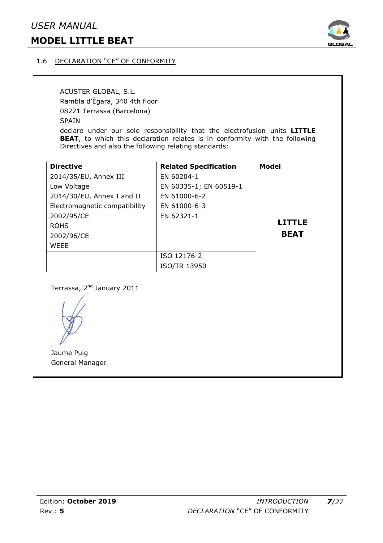### *USER MANUAL*

### **MODEL LITTLE BEAT**



#### 1.6 DECLARATION "CE" OF CONFORMITY

ACUSTER GLOBAL, S.L. Rambla d'Ègara, 340 4th floor 08221 Terrassa (Barcelona) SPAIN declare under our sole responsibility that the electrofusion units **LITTLE** 

**BEAT**, to which this declaration relates is in conformity with the following Directives and also the following relating standards:

| <b>Directive</b>              | <b>Related Specification</b> | <b>Model</b>  |
|-------------------------------|------------------------------|---------------|
| 2014/35/EU, Annex III         | EN 60204-1                   |               |
| Low Voltage                   | EN 60335-1; EN 60519-1       |               |
| 2014/30/EU, Annex I and II    | EN 61000-6-2                 |               |
| Electromagnetic compatibility | EN 61000-6-3                 |               |
| 2002/95/CE                    | EN 62321-1                   |               |
| <b>ROHS</b>                   |                              | <b>LITTLE</b> |
| 2002/96/CE                    |                              | <b>BEAT</b>   |
| <b>WEEE</b>                   |                              |               |
|                               | ISO 12176-2                  |               |
|                               | <b>ISO/TR 13950</b>          |               |

Terrassa, 2<sup>nd</sup> January 2011

Jaume Puig General Manager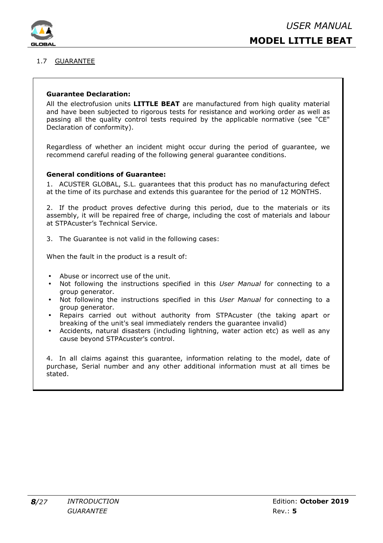

#### 1.7 GUARANTEE

#### **Guarantee Declaration:**

All the electrofusion units **LITTLE BEAT** are manufactured from high quality material and have been subjected to rigorous tests for resistance and working order as well as passing all the quality control tests required by the applicable normative (see "CE" Declaration of conformity).

Regardless of whether an incident might occur during the period of guarantee, we recommend careful reading of the following general guarantee conditions.

#### **General conditions of Guarantee:**

1. ACUSTER GLOBAL, S.L. guarantees that this product has no manufacturing defect at the time of its purchase and extends this guarantee for the period of 12 MONTHS.

2. If the product proves defective during this period, due to the materials or its assembly, it will be repaired free of charge, including the cost of materials and labour at STPAcuster's Technical Service.

3. The Guarantee is not valid in the following cases:

When the fault in the product is a result of:

- Abuse or incorrect use of the unit.
- Not following the instructions specified in this *User Manual* for connecting to a group generator.
- Not following the instructions specified in this *User Manual* for connecting to a group generator.
- Repairs carried out without authority from STPAcuster (the taking apart or breaking of the unit's seal immediately renders the guarantee invalid)
- Accidents, natural disasters (including lightning, water action etc) as well as any cause beyond STPAcuster's control.

4. In all claims against this guarantee, information relating to the model, date of purchase, Serial number and any other additional information must at all times be stated.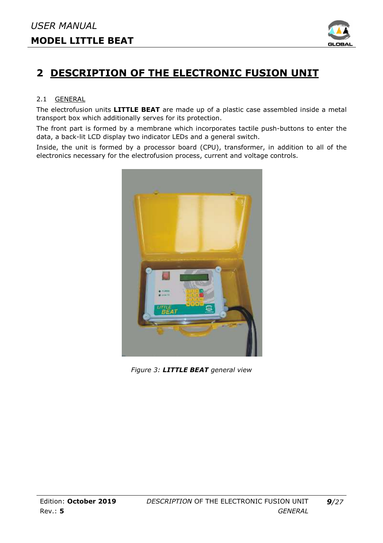

# **2 DESCRIPTION OF THE ELECTRONIC FUSION UNIT**

#### 2.1 GENERAL

The electrofusion units **LITTLE BEAT** are made up of a plastic case assembled inside a metal transport box which additionally serves for its protection.

The front part is formed by a membrane which incorporates tactile push-buttons to enter the data, a back-lit LCD display two indicator LEDs and a general switch.

Inside, the unit is formed by a processor board (CPU), transformer, in addition to all of the electronics necessary for the electrofusion process, current and voltage controls.



*Figure 3: LITTLE BEAT general view*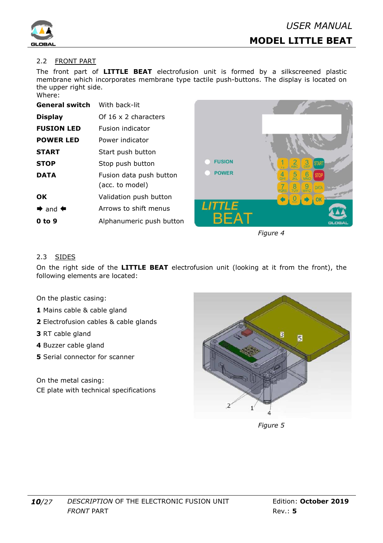

#### 2.2 FRONT PART

The front part of **LITTLE BEAT** electrofusion unit is formed by a silkscreened plastic membrane which incorporates membrane type tactile push-buttons. The display is located on the upper right side.  $Mh$ 

| vonere.                             |                             |  |
|-------------------------------------|-----------------------------|--|
| <b>General switch</b> With back-lit |                             |  |
| <b>Display</b>                      | Of $16 \times 2$ characters |  |
| <b>FUSION LED</b>                   | <b>Fusion indicator</b>     |  |
| <b>POWER LED</b>                    | Power indicator             |  |
| <b>START</b>                        | Start push button           |  |
| <b>STOP</b>                         | Stop push button            |  |
| DATA                                | Fusion data push button     |  |
|                                     | (acc. to model)             |  |
| <b>OK</b>                           | Validation push button      |  |
| $\Rightarrow$ and $\Leftarrow$      | Arrows to shift menus       |  |
| 0 to 9                              | Alphanumeric push button    |  |
|                                     |                             |  |



*Figure 4* 

#### 2.3 SIDES

On the right side of the **LITTLE BEAT** electrofusion unit (looking at it from the front), the following elements are located:

On the plastic casing:

- **1** Mains cable & cable gland
- **2** Electrofusion cables & cable glands
- **3** RT cable gland
- **4** Buzzer cable gland
- **5** Serial connector for scanner
- On the metal casing: CE plate with technical specifications



 *Figure 5*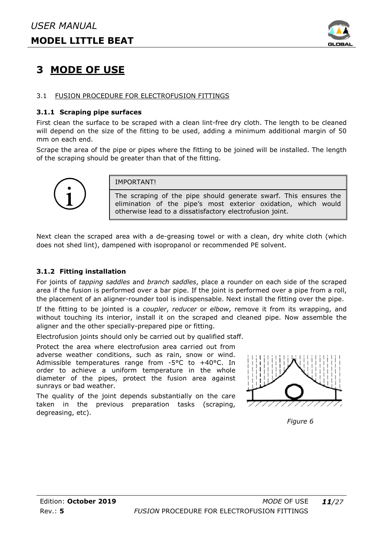

## **3 MODE OF USE**

#### 3.1 FUSION PROCEDURE FOR ELECTROFUSION FITTINGS

#### **3.1.1 Scraping pipe surfaces**

First clean the surface to be scraped with a clean lint-free dry cloth. The length to be cleaned will depend on the size of the fitting to be used, adding a minimum additional margin of 50 mm on each end.

Scrape the area of the pipe or pipes where the fitting to be joined will be installed. The length of the scraping should be greater than that of the fitting.



IMPORTANT!

The scraping of the pipe should generate swarf. This ensures the elimination of the pipe's most exterior oxidation, which would otherwise lead to a dissatisfactory electrofusion joint. th a clean lint-free dry cloth. The length to be cleaned<br>
be used, adding a minimum additional margin of 50<br>
ere the fitting to be joined will be installed. The length<br>
hat of the fitting.<br>
Fig. 1. This ensures the the pip

Next clean the scraped area with a de-greasing towel or with a clean, dry white cloth (which does not shed lint), dampened with isopropanol or recommended PE solvent.

#### **3.1.2 Fitting installation**

For joints of *tapping saddles* and *branch saddles*, place a rounder on each area if the fusion is performed over a bar pipe. If the joint is performed over a pipe from a roll, the placement of an aligner-rounder tool is indispensable. Next install the fitting over the pipe.

If the fitting to be jointed is a *coupler*, *reducer* or *elbow*, remove it from its wrapping, and without touching its interior, install it on the scraped and cleaned pipe. Now assemble the aligner and the other specially-prepared pipe or fitting.

Electrofusion joints should only be carried out by qualified staff.

Protect the area where electrofusion area carried out from adverse weather conditions, such as rain, snow or wind. Electrofusion joints should only be carried out by qualified state<br>Protect the area where electrofusion area carried out from<br>adverse weather conditions, such as rain, snow or wind.<br>Admissible temperatures range from -5°C order to achieve a uniform temperature in the whole diameter of the pipes, protect the fusion area against sunrays or bad weather.

The quality of the joint depends substantially on the care taken in the previous preparation tasks (scraping, degreasing, etc). rder to achieve a uniform ten<br>iameter of the pipes, protect t<br>unrays or bad weather.<br>he quality of the joint depends s<br>aken in the previous prepar<br>egreasing, etc).



*Figure 6*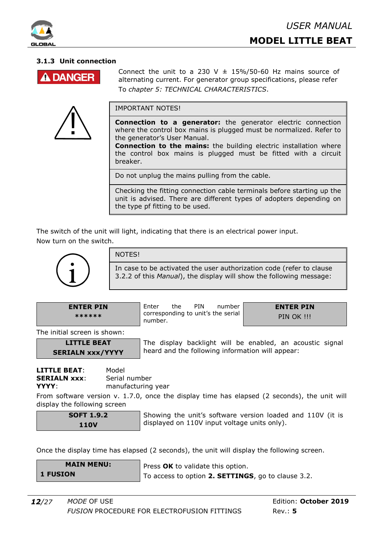

#### **3.1.3 Unit connection**



<u>]</u><br>-

Connect the unit to a 230 V  $\pm$  15%/50-60 Hz mains source of alternating current. For generator group specifications, please refer To *chapter 5: TECHNICAL CHARACTERISTICS*.

IMPORTANT NOTES!

**Connection to a generator:** the generator electric connection where the control box mains is plugged must be normalized. Refer to the generator's User Manual.

**Connection to the mains:** the building electric installation where the control box mains is plugged must be fitted with a circuit breaker.

Do not unplug the mains pulling from the cable.

Checking the fitting connection cable terminals before starting up the unit is advised. There are different types of adopters depending on the type pf fitting to be used.

The switch of the unit will light, indicating that there is an electrical power input. Now turn on the switch.



#### NOTES!

In case to be activated the user authorization code (refer to clause 3.2.2 of this *Manual*), the display will show the following message:

**ENTER PIN \*\*\*\*\*\*** 

Enter the PIN number corresponding to unit's the serial number.

**ENTER PIN PIN OK !!!** 

The initial screen is shown:

#### **LITTLE BEAT SERIALN xxx/YYYY**

The display backlight will be enabled, an acoustic signal heard and the following information will appear:

**LITTLE BEAT**: Model **SERIALN xxx:** Serial number **YYYY:** manufacturing year

From software version v. 1.7.0, once the display time has elapsed (2 seconds), the unit will display the following screen

**SOFT 1.9.2 110V** 

Showing the unit's software version loaded and 110V (it is displayed on 110V input voltage units only).

Once the display time has elapsed (2 seconds), the unit will display the following screen.

| <b>MAIN MENU:</b> | Press OK to validate this option.                  |  |
|-------------------|----------------------------------------------------|--|
| <b>1 FUSION</b>   | To access to option 2. SETTINGS, go to clause 3.2. |  |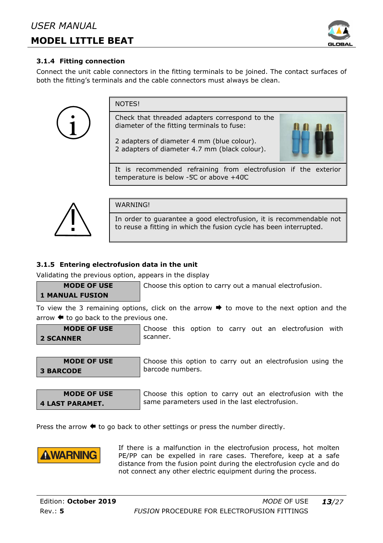

#### **3.1.4 Fitting connection**

Connect the unit cable connectors in the fitting terminals to be joined. The contact surfaces of both the fitting's terminals and the cable connectors must always be clean.

**NOTES!** Check that threaded adapters correspond to the diameter of the fitting terminals to fuse: 2 adapters of diameter 4 mm (blue colour). 2 adapters of diameter 4.7 mm (black colour). It is recommended refraining from electrofusion if the exterior temperature is below -5̊C or above +40̊C



**WARNINGI** 

In order to guarantee a good electrofusion, it is recommendable not to reuse a fitting in which the fusion cycle has been interrupted.

#### **3.1.5 Entering electrofusion data in the unit**

Validating the previous option, appears in the display

Choose this option to carry out a manual electrofusion.

### **1 MANUAL FUSION**

**MODE OF USE** 

To view the 3 remaining options, click on the arrow  $\rightarrow$  to move to the next option and the arrow  $\blacklozenge$  to go back to the previous one.

| <b>MODE OF USE</b> |  |
|--------------------|--|
| <b>2 SCANNER</b>   |  |

Choose this option to carry out an electrofusion with scanner.

**MODE OF USE 3 BARCODE** 

Choose this option to carry out an electrofusion using the barcode numbers.

**MODE OF USE 4 LAST PARAMET.** 

Choose this option to carry out an electrofusion with the same parameters used in the last electrofusion.

Press the arrow  $\blacklozenge$  to go back to other settings or press the number directly.



If there is a malfunction in the electrofusion process, hot molten PE/PP can be expelled in rare cases. Therefore, keep at a safe distance from the fusion point during the electrofusion cycle and do not connect any other electric equipment during the process.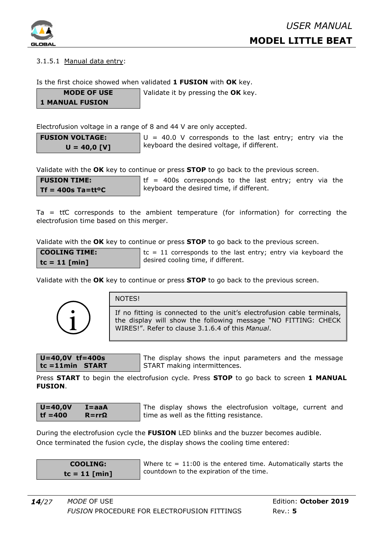

#### 3.1.5.1 Manual data entry:

Is the first choice showed when validated **1 FUSION** with **OK** key.

**MODE OF USE** 

**1 MANUAL FUSION** 

Validate it by pressing the **OK** key.

Electrofusion voltage in a range of 8 and 44 V are only accepted.

**FUSION VOLTAGE: U = 40,0 [V]**   $U = 40.0$  V corresponds to the last entry; entry via the keyboard the desired voltage, if different.

Validate with the **OK** key to continue or press **STOP** to go back to the previous screen.

**FUSION TIME: Tf = 400s Ta=ttºC**   $tf = 400s$  corresponds to the last entry; entry via the keyboard the desired time, if different.

Ta =  $t\ddot{t}C$  corresponds to the ambient temperature (for information) for correcting the electrofusion time based on this merger.

Validate with the **OK** key to continue or press **STOP** to go back to the previous screen.

| <b>COOLING TIME:</b> | $\parallel$ tc = 11 corresponds to the last entry; entry via keyboard the |
|----------------------|---------------------------------------------------------------------------|
| tc = 11 [min]        | desired cooling time, if different.                                       |

Validate with the **OK** key to continue or press **STOP** to go back to the previous screen.



| NOTES! |
|--------|
|        |

If no fitting is connected to the unit's electrofusion cable terminals, the display will show the following message "NO FITTING: CHECK WIRES!". Refer to clause 3.1.6.4 of this *Manual*.

$$
U=40,0V \text{ tf}=400s
$$
  
tc=11min STAT

The display shows the input parameters and the message START making intermittences.

Press **START** to begin the electrofusion cycle. Press **STOP** to go back to screen **1 MANUAL FUSION**.

| $U = 40,0V$ | $I = aaA$      |
|-------------|----------------|
| $tf = 400$  | $R = rr\Omega$ |

The display shows the electrofusion voltage, current and time as well as the fitting resistance.

During the electrofusion cycle the **FUSION** LED blinks and the buzzer becomes audible. Once terminated the fusion cycle, the display shows the cooling time entered:

| <b>COOLING:</b> |  |                 |  |
|-----------------|--|-----------------|--|
|                 |  | $tc = 11$ [min] |  |

Where  $tc = 11:00$  is the entered time. Automatically starts the countdown to the expiration of the time.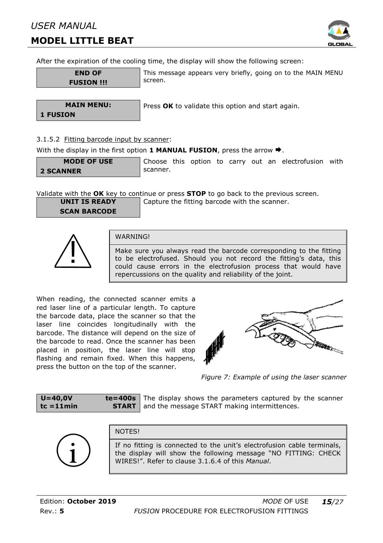### *USER MANUAL*

### **MODEL LITTLE BEAT**



After the expiration of the cooling time, the display will show the following screen:

```
END OF 
FUSION !!!
```
This message appears very briefly, going on to the MAIN MENU screen.

**MAIN MENU: 1 FUSION**

Press **OK** to validate this option and start again.

#### 3.1.5.2 Fitting barcode input by scanner:

With the display in the first option **1 MANUAL FUSION**, press the arrow **→**.

```
MODE OF USE 
2 SCANNER
```
Choose this option to carry out an electrofusion with scanner.

Validate with the **OK** key to continue or press **STOP** to go back to the previous screen.

**UNIT IS READY SCAN BARCODE**  Capture the fitting barcode with the scanner.



#### WARNING!

Make sure you always read the barcode corresponding to the fitting to be electrofused. Should you not record the fitting's data, this could cause errors in the electrofusion process that would have repercussions on the quality and reliability of the joint.

When reading, the connected scanner emits a red laser line of a particular length. To capture the barcode data, place the scanner so that the laser line coincides longitudinally with the barcode. The distance will depend on the size of the barcode to read. Once the scanner has been placed in position, the laser line will stop flashing and remain fixed. When this happens, press the button on the top of the scanner. scanner.



*Figure 7: Example of us using the laser scanner* 

| $U = 40,0V$  | $te = 400s$  |
|--------------|--------------|
| $tc = 11min$ | <b>START</b> |

The display shows the parameters captured by the scanner and the message START making intermittences.



**NOTES!** 

If no fitting is connected to the unit's electrofusion cable terminals, the display will show the following message "NO FITTING: CHECK WIRES!". Refer to clause 3.1.6.4 of this *Manual*.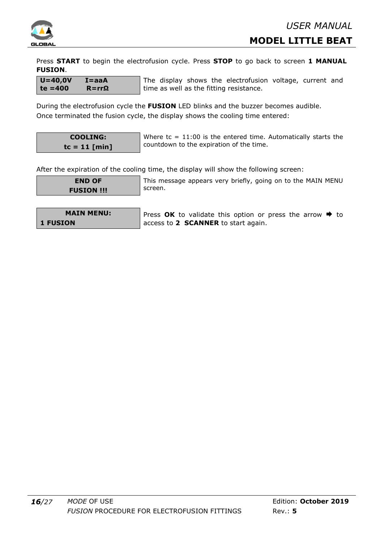

Press **START** to begin the electrofusion cycle. Press **STOP** to go back to screen **1 MANUAL FUSION**.

| $U = 40,0V$ | $I = aaA$ | The displa |
|-------------|-----------|------------|
| $te = 400$  | $R = rrΩ$ | time as we |

ay shows the electrofusion voltage, current and ell as the fitting resistance.

During the electrofusion cycle the **FUSION** LED blinks and the buzzer becomes audible. Once terminated the fusion cycle, the display shows the cooling time entered:

|  | <b>COOLING:</b> |  |
|--|-----------------|--|
|  | $tc = 11$ [min] |  |

Where  $tc = 11:00$  is the entered time. Automatically starts the countdown to the expiration of the time.

After the expiration of the cooling time, the display will show the following screen:

**END OF FUSION !!!** This message appears very briefly, going on to the MAIN MENU screen.

|                 | <b>MAIN MENU:</b> |
|-----------------|-------------------|
| <b>1 FUSION</b> |                   |

Press  $OK$  to validate this option or press the arrow  $\rightarrow$  to access to **2 SCANNER** to start again.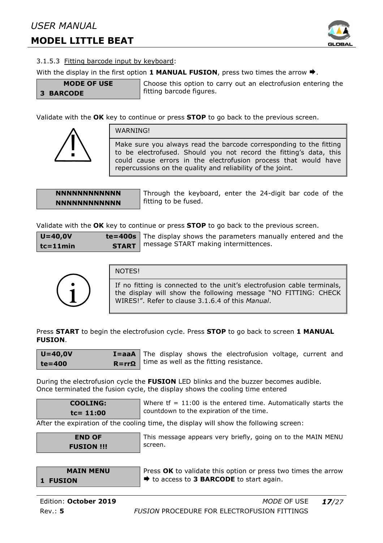

#### 3.1.5.3 Fitting barcode input by keyboard:

With the display in the first option **1 MANUAL FUSION**, press two times the arrow  $\blacktriangleright$ .

**MODE OF USE 3 BARCODE** 

```
Choose this option to carry out an electrofusion entering the 
fitting barcode figures.
```
Validate with the **OK** key to continue or press **STOP** to go back to the previous screen.



WARNING!

Make sure you always read the barcode corresponding to the fitting to be electrofused. Should you not record the fitting's data, this could cause errors in the electrofusion process that would have repercussions on the quality and reliability of the joint.

#### **NNNNNNNNNNNN NNNNNNNNNNNN**

Through the keyboard, enter the 24-digit bar code of the fitting to be fused.

Validate with the **OK** key to continue or press **STOP** to go back to the previous screen.

| $U=40,0V$    | $te =$ |
|--------------|--------|
| $tc = 11min$ | S      |

 $:400s$ **TART** The display shows the parameters manually entered and the message START making intermittences.



#### NOTES!

If no fitting is connected to the unit's electrofusion cable terminals, the display will show the following message "NO FITTING: CHECK WIRES!". Refer to clause 3.1.6.4 of this *Manual*.

Press **START** to begin the electrofusion cycle. Press **STOP** to go back to screen **1 MANUAL FUSION**.

| $U = 40,0V$ | $I = a a A$ The     |  |
|-------------|---------------------|--|
| te=400      | $R = rr\Omega$ time |  |

display shows the electrofusion voltage, current and e as well as the fitting resistance.

During the electrofusion cycle the **FUSION** LED blinks and the buzzer becomes audible. Once terminated the fusion cycle, the display shows the cooling time entered

$$
COOLING:
$$
  

$$
tc=11:00
$$

Where  $tf = 11:00$  is the entered time. Automatically starts the countdown to the expiration of the time.

After the expiration of the cooling time, the display will show the following screen:

| <b>END OF</b>     |  |
|-------------------|--|
| <b>FUSION !!!</b> |  |

This message appears very briefly, going on to the MAIN MENU screen.

|                 | <b>MAIN MENU</b> |
|-----------------|------------------|
| <b>1 FUSION</b> |                  |

Press **OK** to validate this option or press two times the arrow  $\rightarrow$  to access to **3 BARCODE** to start again.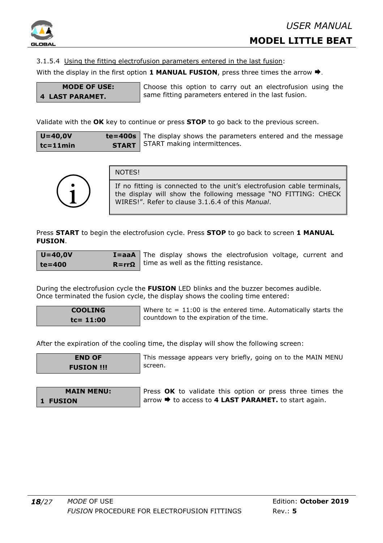

3.1.5.4 Using the fitting electrofusion parameters entered in the last fusion:

With the display in the first option **1 MANUAL FUSION**, press three times the arrow  $\blacktriangleright$ .

#### **MODE OF USE: 4 LAST PARAMET.**

Choose this option to carry out an electrofusion using the same fitting parameters entered in the last fusion.

Validate with the **OK** key to continue or press **STOP** to go back to the previous screen.

| $U = 40,0V$   | $te = 400s$ Th   |  |
|---------------|------------------|--|
| $tc = 11$ min | START $\vert$ ST |  |

e display shows the parameters entered and the message ART making intermittences.



NOTES!

If no fitting is connected to the unit's electrofusion cable terminals, the display will show the following message "NO FITTING: CHECK WIRES!". Refer to clause 3.1.6.4 of this *Manual*.

Press **START** to begin the electrofusion cycle. Press **STOP** to go back to screen **1 MANUAL FUSION**.

| $U = 40,0V$ | $I = aaA$ T       |  |
|-------------|-------------------|--|
| te=400      | $R = rr\Omega$ ti |  |

he display shows the electrofusion voltage, current and me as well as the fitting resistance.

During the electrofusion cycle the **FUSION** LED blinks and the buzzer becomes audible. Once terminated the fusion cycle, the display shows the cooling time entered:

```
COOLING 
tc= 11:00
```
Where  $tc = 11:00$  is the entered time. Automatically starts the countdown to the expiration of the time.

After the expiration of the cooling time, the display will show the following screen:

| <b>END OF</b>     |
|-------------------|
| <b>FUSION !!!</b> |

This message appears very briefly, going on to the MAIN MENU screen.

| <b>MAIN MENU:</b> | Press OK to validate this option or press three times the                |
|-------------------|--------------------------------------------------------------------------|
| 1 FUSION          | $\vert$ arrow $\Rightarrow$ to access to 4 LAST PARAMET. to start again. |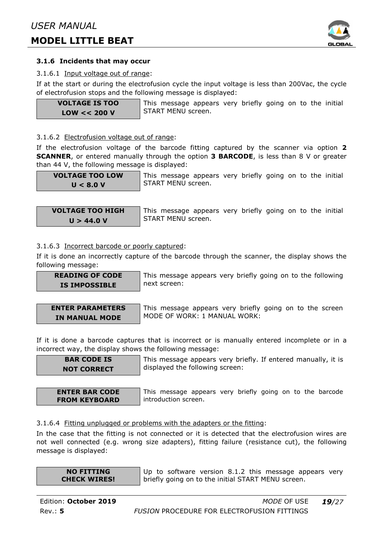

#### **3.1.6 Incidents that may occur**

#### 3.1.6.1 Input voltage out of range:

If at the start or during the electrofusion cycle the input voltage is less than 200Vac, the cycle of electrofusion stops and the following message is displayed:

**VOLTAGE IS TOO LOW << 200 V** 

This message appears very briefly going on to the initial START MENU screen.

#### 3.1.6.2 Electrofusion voltage out of range:

If the electrofusion voltage of the barcode fitting captured by the scanner via option **2 SCANNER**, or entered manually through the option **3 BARCODE**, is less than 8 V or greater than 44 V, the following message is displayed:

**VOLTAGE TOO LOW U < 8.0 V** 

This message appears very briefly going on to the initial START MENU screen.

**VOLTAGE TOO HIGH U > 44.0 V** 

This message appears very briefly going on to the initial START MENU screen.

#### 3.1.6.3 Incorrect barcode or poorly captured:

If it is done an incorrectly capture of the barcode through the scanner, the display shows the following message:

**READING OF CODE IS IMPOSSIBLE** 

This message appears very briefly going on to the following next screen:

**ENTER PARAMETERS IN MANUAL MODE** 

This message appears very briefly going on to the screen MODE OF WORK: 1 MANUAL WORK:

If it is done a barcode captures that is incorrect or is manually entered incomplete or in a incorrect way, the display shows the following message:

**BAR CODE IS NOT CORRECT**  This message appears very briefly. If entered manually, it is displayed the following screen:

**ENTER BAR CODE FROM KEYBOARD** 

This message appears very briefly going on to the barcode introduction screen.

#### 3.1.6.4 Fitting unplugged or problems with the adapters or the fitting:

In the case that the fitting is not connected or it is detected that the electrofusion wires are not well connected (e.g. wrong size adapters), fitting failure (resistance cut), the following message is displayed:

| <b>NO FITTING</b>   |  |
|---------------------|--|
| <b>CHECK WIRES!</b> |  |

Up to software version 8.1.2 this message appears very briefly going on to the initial START MENU screen.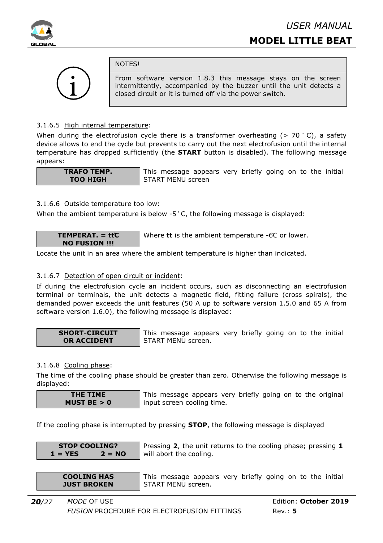



#### **NOTES!**

From software version 1.8.3 this message stays on the screen intermittently, accompanied by the buzzer until the unit detects a closed circuit or it is turned off via the power switch.

#### 3.1.6.5 High internal temperature:

When during the electrofusion cycle there is a transformer overheating  $(> 70 \degree C)$ , a safety device allows to end the cycle but prevents to carry out the next electrofusion until the internal temperature has dropped sufficiently (the **START** button is disabled). The following message appears:

**TRAFO TEMP. TOO HIGH** 

This message appears very briefly going on to the initial START MENU screen

#### 3.1.6.6 Outside temperature too low:

When the ambient temperature is below -5 °C, the following message is displayed:

**TEMPERAT. = tt̊C NO FUSION !!!**  Where **tt** is the ambient temperature -6̊C or lower.

Locate the unit in an area where the ambient temperature is higher than indicated.

#### 3.1.6.7 Detection of open circuit or incident:

If during the electrofusion cycle an incident occurs, such as disconnecting an electrofusion terminal or terminals, the unit detects a magnetic field, fitting failure (cross spirals), the demanded power exceeds the unit features (50 A up to software version 1.5.0 and 65 A from software version 1.6.0), the following message is displayed:

**SHORT-CIRCUIT OR ACCIDENT** 

This message appears very briefly going on to the initial START MENU screen.

#### 3.1.6.8 Cooling phase:

The time of the cooling phase should be greater than zero. Otherwise the following message is displayed:

**THE TIME MUST BE > 0**  This message appears very briefly going on to the original input screen cooling time.

If the cooling phase is interrupted by pressing **STOP**, the following message is displayed

| <b>STOP COOLING?</b> |          |
|----------------------|----------|
| $1 = YES$            | $2 = NO$ |

Pressing **2**, the unit returns to the cooling phase; pressing **1** will abort the cooling.

**COOLING HAS JUST BROKEN** 

This message appears very briefly going on to the initial START MENU screen.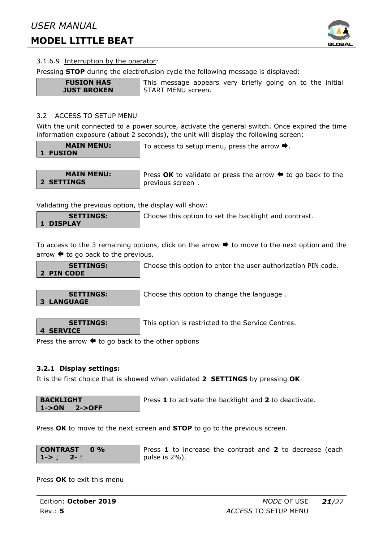

#### 3.1.6.9 Interruption by the operator*:*

Pressing **STOP** during the electrofusion cycle the following message is displayed:

**FUSION HAS JUST BROKEN**  This message appears very briefly going on to the initial START MENU screen.

#### 3.2 ACCESS TO SETUP MENU

With the unit connected to a power source, activate the general switch. Once expired the time information exposure (about 2 seconds), the unit will display the following screen:

**MAIN MENU: 1 FUSION** 

To access to setup menu, press the arrow  $\blacktriangleright$ .

**MAIN MENU: 2 SETTINGS**

Press  $OK$  to validate or press the arrow  $\triangleq$  to go back to the previous screen .

Validating the previous option, the display will show:

**SETTINGS: 1 DISPLAY** 

Choose this option to set the backlight and contrast.

To access to the 3 remaining options, click on the arrow  $\blacktriangleright$  to move to the next option and the arrow  $\blacklozenge$  to go back to the previous.

**SETTINGS: 2 PIN CODE** 

tion to enter the user authorization PIN code.

**SETTINGS: 3 LANGUAGE** 

Choose this option to change the language .

**SETTINGS: 4 SERVICE** 

This option is restricted to the Service Centres.

Press the arrow  $\blacklozenge$  to go back to the other options

#### **3.2.1 Display settings:**

It is the first choice that is showed when validated **2 SETTINGS** by pressing **OK**.

**BACKLIGHT 1->ON 2->OFF** 

Press **1** to activate the backlight and **2** to deactivate.

Press **OK** to move to the next screen and **STOP** to go to the previous screen.

**CONTRAST** 0 %  
**1->** 
$$
\downarrow
$$
 2-  $\uparrow$ 

Press **1** to increase the contrast and **2** to decrease (each pulse is 2%).

Press **OK** to exit this menu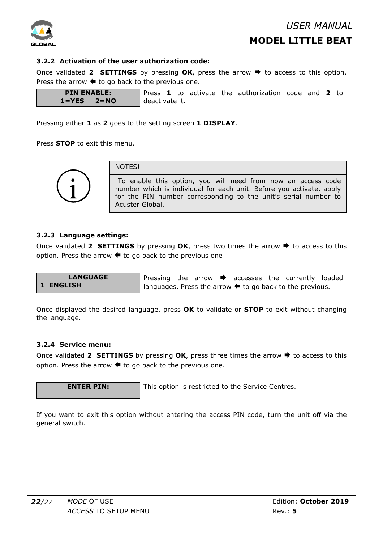

#### **3.2.2 Activation of the user authorization code:**

Once validated 2 **SETTINGS** by pressing  $OK$ , press the arrow  $\rightarrow$  to access to this option. Press the arrow  $\blacklozenge$  to go back to the previous one.

**PIN ENABLE: 1=YES 2=NO**  Press **1** to activate the authorization code and **2** to deactivate it.

Pressing either **1** as **2** goes to the setting screen **1 DISPLAY**.

Press **STOP** to exit this menu.



NOTES!

To enable this option, you will need from now an access code number which is individual for each unit. Before you activate, apply for the PIN number corresponding to the unit's serial number to Acuster Global.

#### **3.2.3 Language settings:**

Once validated 2 **SETTINGS** by pressing **OK**, press two times the arrow  $\rightarrow$  to access to this option. Press the arrow  $\blacklozenge$  to go back to the previous one

**LANGUAGE 1 ENGLISH** 

Pressing the arrow  $\rightarrow$  accesses the currently loaded languages. Press the arrow  $\blacklozenge$  to go back to the previous.

Once displayed the desired language, press **OK** to validate or **STOP** to exit without changing the language.

#### **3.2.4 Service menu:**

Once validated 2 **SETTINGS** by pressing  $OK$ , press three times the arrow  $\rightarrow$  to access to this option. Press the arrow  $\blacklozenge$  to go back to the previous one.

**ENTER PIN:** This option is restricted to the Service Centres.

If you want to exit this option without entering the access PIN code, turn the unit off via the general switch.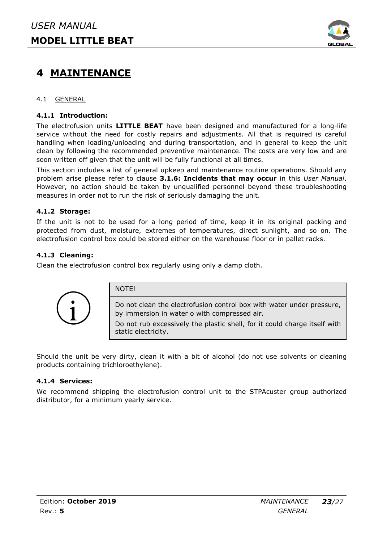

# **4 MAINTENANCE**

#### 4.1 GENERAL

#### **4.1.1 Introduction:**

The electrofusion units **LITTLE BEAT** have been designed and manufactured for a long-life service without the need for costly repairs and adjustments. All that is required is careful handling when loading/unloading and during transportation, and in general to keep the unit clean by following the recommended preventive maintenance. The costs are very low and are soon written off given that the unit will be fully functional at all times.

This section includes a list of general upkeep and maintenance routine operations. Should any problem arise please refer to clause **3.1.6: Incidents that may occur** in this *User Manual*. However, no action should be taken by unqualified personnel beyond these troubleshooting measures in order not to run the risk of seriously damaging the unit.

#### **4.1.2 Storage:**

If the unit is not to be used for a long period of time, keep it in its original packing and protected from dust, moisture, extremes of temperatures, direct sunlight, and so on. The electrofusion control box could be stored either on the warehouse floor or in pallet racks.

#### **4.1.3 Cleaning:**

Clean the electrofusion control box regularly using only a damp cloth.

NOTE!



Do not clean the electrofusion control box with water under pressure, by immersion in water o with compressed air.

Do not rub excessively the plastic shell, for it could charge itself with static electricity.

Should the unit be very dirty, clean it with a bit of alcohol (do not use solvents or cleaning products containing trichloroethylene).

#### **4.1.4 Services:**

We recommend shipping the electrofusion control unit to the STPAcuster group authorized distributor, for a minimum yearly service.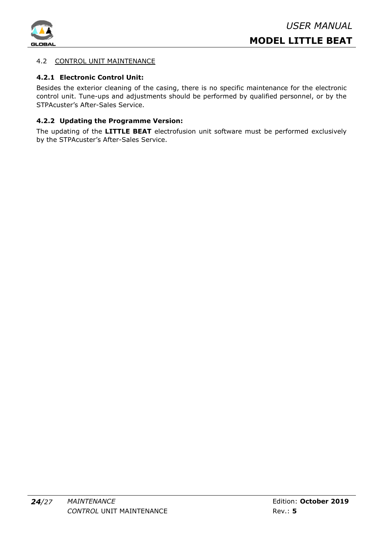

#### 4.2 CONTROL UNIT MAINTENANCE

#### **4.2.1 Electronic Control Unit:**

Besides the exterior cleaning of the casing, there is no specific maintenance for the electronic control unit. Tune-ups and adjustments should be performed by qualified personnel, or by the STPAcuster's After-Sales Service.

#### **4.2.2 Updating the Programme Version:**

The updating of the **LITTLE BEAT** electrofusion unit software must be performed exclusively by the STPAcuster's After-Sales Service.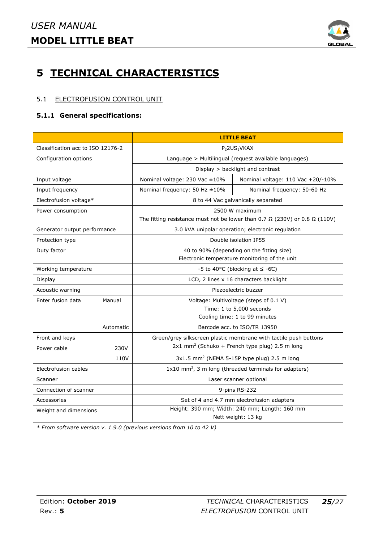

# **5 TECHNICAL CHARACTERISTICS**

#### 5.1 ELECTROFUSION CONTROL UNIT

#### **5.1.1 General specifications:**

|                                   |           | <b>LITTLE BEAT</b>                                                                       |                                                           |  |
|-----------------------------------|-----------|------------------------------------------------------------------------------------------|-----------------------------------------------------------|--|
| Classification acc to ISO 12176-2 |           | P <sub>2</sub> 2US <sub>1</sub> VKAX                                                     |                                                           |  |
| Configuration options             |           | Language > Multilingual (request available languages)                                    |                                                           |  |
|                                   |           | Display > backlight and contrast                                                         |                                                           |  |
| Input voltage                     |           | Nominal voltage: 230 Vac ±10%                                                            | Nominal voltage: 110 Vac +20/-10%                         |  |
| Input frequency                   |           | Nominal frequency: 50 Hz $\pm 10\%$                                                      | Nominal frequency: 50-60 Hz                               |  |
| Electrofusion voltage*            |           | 8 to 44 Vac galvanically separated                                                       |                                                           |  |
| Power consumption                 |           | 2500 W maximum                                                                           |                                                           |  |
|                                   |           | The fitting resistance must not be lower than 0.7 $\Omega$ (230V) or 0.8 $\Omega$ (110V) |                                                           |  |
| Generator output performance      |           | 3.0 kVA unipolar operation; electronic regulation                                        |                                                           |  |
| Protection type                   |           | Double isolation IP55                                                                    |                                                           |  |
| Duty factor                       |           | 40 to 90% (depending on the fitting size)                                                |                                                           |  |
|                                   |           | Electronic temperature monitoring of the unit                                            |                                                           |  |
| Working temperature               |           | -5 to 40°C (blocking at $\leq$ -6°C)                                                     |                                                           |  |
| Display                           |           | LCD, 2 lines x 16 characters backlight                                                   |                                                           |  |
| Acoustic warning                  |           | Piezoelectric buzzer                                                                     |                                                           |  |
| Enter fusion data                 | Manual    | Voltage: Multivoltage (steps of 0.1 V)                                                   |                                                           |  |
|                                   |           | Time: 1 to 5,000 seconds                                                                 |                                                           |  |
|                                   |           | Cooling time: 1 to 99 minutes                                                            |                                                           |  |
|                                   | Automatic |                                                                                          | Barcode acc. to ISO/TR 13950                              |  |
| Front and keys                    |           | Green/grey silkscreen plastic membrane with tactile push buttons                         |                                                           |  |
| Power cable                       | 230V      | 2x1 mm <sup>2</sup> (Schuko + French type plug) 2.5 m long                               |                                                           |  |
|                                   | 110V      |                                                                                          | $3x1.5$ mm <sup>2</sup> (NEMA 5-15P type plug) 2.5 m long |  |
| Electrofusion cables              |           | $1x10$ mm <sup>2</sup> , 3 m long (threaded terminals for adapters)                      |                                                           |  |
| Scanner                           |           | Laser scanner optional                                                                   |                                                           |  |
| Connection of scanner             |           | 9-pins RS-232                                                                            |                                                           |  |
| Accessories                       |           | Set of 4 and 4.7 mm electrofusion adapters                                               |                                                           |  |
| Weight and dimensions             |           | Height: 390 mm; Width: 240 mm; Length: 160 mm                                            |                                                           |  |
|                                   |           |                                                                                          | Nett weight: 13 kg                                        |  |

*\* From software version v. 1.9.0 (previous versions from 10 to 42 V)*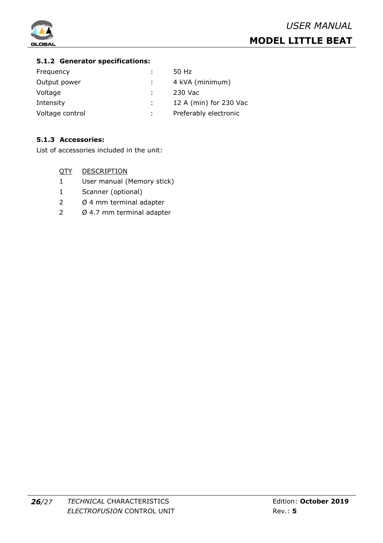

#### **5.1.2 Generator specifications:**

| Frequency       | 50 Hz                  |
|-----------------|------------------------|
| Output power    | 4 kVA (minimum)        |
| Voltage         | 230 Vac                |
| Intensity       | 12 A (min) for 230 Vac |
| Voltage control | Preferably electronic  |

#### **5.1.3 Accessories:**

List of accessories included in the unit:

- QTY DESCRIPTION
- 1 User manual (Memory stick)
- 1 Scanner (optional)
- 2 Ø 4 mm terminal adapter
- 2 Ø 4.7 mm terminal adapter